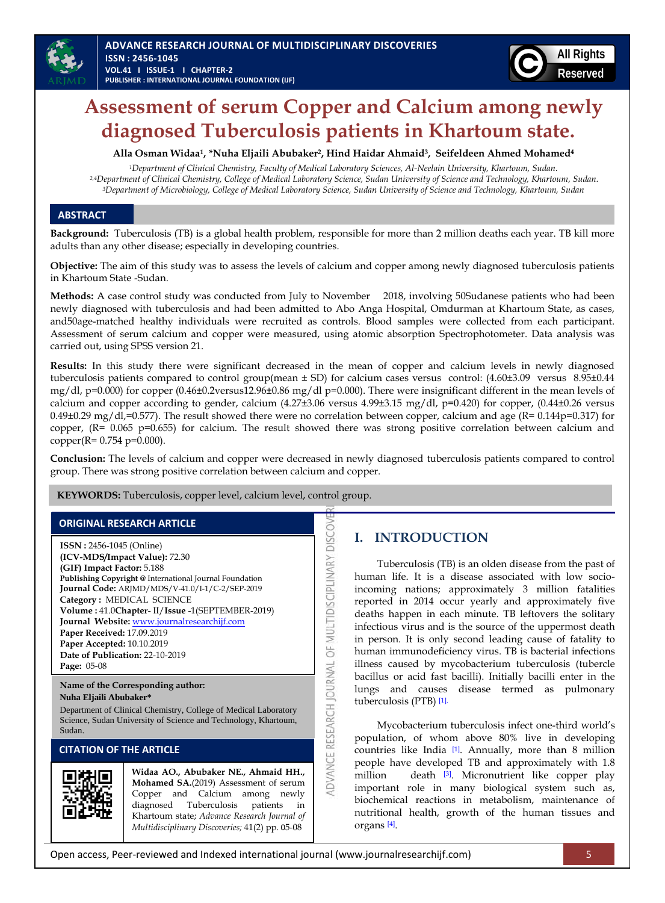

# **Assessment of serum Copper and Calcium among newly diagnosed Tuberculosis patients in Khartoum state.**

**Alla Osman Widaa1, \*Nuha Eljaili Abubaker2, Hind Haidar Ahmaid3, Seifeldeen Ahmed Mohamed<sup>4</sup>**

*<sup>1</sup>Department of Clinical Chemistry, Faculty of Medical Laboratory Sciences, Al-Neelain University, Khartoum, Sudan. 2,4Department of Clinical Chemistry, College of Medical Laboratory Science, Sudan University of Science and Technology, Khartoum, Sudan. <sup>3</sup>Department of Microbiology, College of Medical Laboratory Science, Sudan University of Science and Technology, Khartoum, Sudan*

## **ABSTRACT**

**Background:** Tuberculosis (TB) is a global health problem, responsible for more than 2 million deaths each year. TB kill more adults than any other disease; especially in developing countries.

**Objective:** The aim of this study was to assess the levels of calcium and copper among newly diagnosed tuberculosis patients in Khartoum State -Sudan.

**Methods:** A case control study was conducted from July to November 2018, involving 50Sudanese patients who had been newly diagnosed with tuberculosis and had been admitted to Abo Anga Hospital, Omdurman at Khartoum State, as cases, and50age-matched healthy individuals were recruited as controls. Blood samples were collected from each participant. Assessment of serum calcium and copper were measured, using atomic absorption Spectrophotometer. Data analysis was carried out, using SPSS version 21.

**Results:** In this study there were significant decreased in the mean of copper and calcium levels in newly diagnosed tuberculosis patients compared to control group(mean ± SD) for calcium cases versus control: (4.60±3.09 versus 8.95±0.44 mg/dl, p=0.000) for copper (0.46±0.2versus12.96±0.86 mg/dl p=0.000). There were insignificant different in the mean levels of calcium and copper according to gender, calcium  $(4.27\pm3.06$  versus  $4.99\pm3.15$  mg/dl, p=0.420) for copper,  $(0.44\pm0.26$  versus 0.49 $\pm$ 0.29 mg/dl,=0.577). The result showed there were no correlation between copper, calcium and age (R= 0.144p=0.317) for copper, (R= 0.065 p=0.655) for calcium. The result showed there was strong positive correlation between calcium and copper(R= 0.754 p=0.000).

**Conclusion:** The levels of calcium and copper were decreased in newly diagnosed tuberculosis patients compared to control group. There was strong positive correlation between calcium and copper.

ADVANCE RESEARCH JOURNAL OF MULTIDISCIPLINARY DISCOV

**KEYWORDS:** Tuberculosis, copper level, calcium level, control group.

## **ORIGINAL RESEARCH ARTICLE**

**ISSN :** 2456-1045 (Online) **(ICV-MDS/Impact Value):** 72.30 **(GIF) Impact Factor:** 5.188 **Publishing Copyright @** International Journal Foundation **Journal Code:** ARJMD/MDS/V-41.0/I-1/C-2/SEP-2019 **Category :** MEDICAL SCIENCE **Volume :** 41.0**Chapter**- II/**Issue** -1(SEPTEMBER-2019) **Journal Website:** [www.journalresearchijf.com](http://www.journalresearchijf.com/) **Paper Received:** 17.09.2019 **Paper Accepted:** 10.10.2019 **Date of Publication:** 22-10-2019 **Page:** 05-08

**Name of the Corresponding author: Nuha Eljaili Abubaker\***

Department of Clinical Chemistry, College of Medical Laboratory Science, Sudan University of Science and Technology, Khartoum, Sudan.

### **CITATION OF THE ARTICLE**



**Widaa AO., Abubaker NE., Ahmaid HH., Mohamed SA.**(2019) Assessment of serum Copper and Calcium among newly diagnosed Tuberculosis patients in Khartoum state; *Advance Research Journal of Multidisciplinary Discoveries;* 41(2) pp. 05-08

# **I. INTRODUCTION**

Tuberculosis (TB) is an olden disease from the past of human life. It is a disease associated with low socioincoming nations; approximately 3 million fatalities reported in 2014 occur yearly and approximately five deaths happen in each minute. TB leftovers the solitary infectious virus and is the source of the uppermost death in person. It is only second leading cause of fatality to human immunodeficiency virus. TB is bacterial infections illness caused by mycobacterium tuberculosis (tubercle bacillus or acid fast bacilli). Initially bacilli enter in the lungs and causes disease termed as pulmonary tuberculosis (PTB) [\[1\].](#page-3-0)

Mycobacterium tuberculosis infect one-third world's population, of whom above 80% live in developing countries like India [\[1\]](#page-3-1). Annually, more than 8 million people have developed TB and approximately with 1.8 million death [\[3\]](#page-3-2). Micronutrient like copper play important role in many biological system such as, biochemical reactions in metabolism, maintenance of nutritional health, growth of the human tissues and organs [\[4\]](#page-3-3) .

Open access, Peer-reviewed and Indexed international journal (www.journalresearchijf.com) 5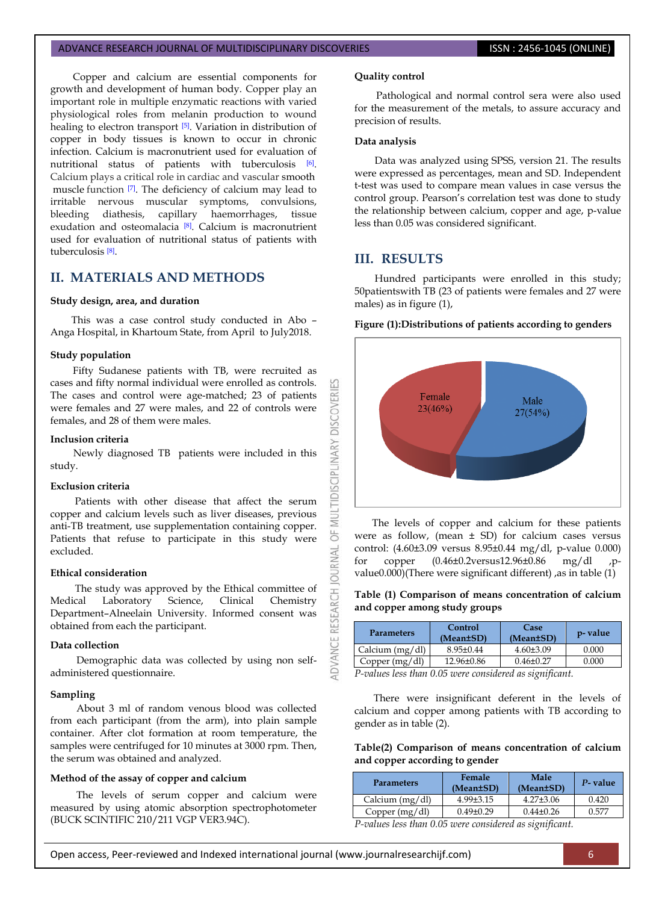#### ADVANCE RESEARCH JOURNAL OF MULTIDISCIPLINARY DISCOVERIES **ISSN : 2456-1045 (ONLINE)**

Copper and calcium are essential components for growth and development of human body. Copper play an important role in multiple enzymatic reactions with varied physiological roles from melanin production to wound healing to electron transport <sup>[\[5\]](#page-3-4)</sup>. Variation in distribution of copper in body tissues is known to occur in chronic infection. Calcium is macronutrient used for evaluation of nutritional status of patients with tuberculosis [\[6\]](#page-3-5). Calcium plays a critical role in cardiac and vascular smooth muscle function [\[7\]](#page-3-6). The deficiency of calcium may lead to irritable nervous muscular symptoms, convulsions, bleeding diathesis, capillary haemorrhages, tissue exudation and osteomalacia [\[8\]](#page-3-7). Calcium is macronutrient used for evaluation of nutritional status of patients with tuberculosis [\[8\]](#page-3-7) .

## **II. MATERIALS AND METHODS**

#### **Study design, area, and duration**

This was a case control study conducted in Abo – Anga Hospital, in Khartoum State, from April to July2018.

#### **Study population**

Fifty Sudanese patients with TB, were recruited as cases and fifty normal individual were enrolled as controls. The cases and control were age-matched; 23 of patients were females and 27 were males, and 22 of controls were females, and 28 of them were males.

#### **Inclusion criteria**

Newly diagnosed TB patients were included in this study.

#### **Exclusion criteria**

Patients with other disease that affect the serum copper and calcium levels such as liver diseases, previous anti-TB treatment, use supplementation containing copper. Patients that refuse to participate in this study were excluded.

#### **Ethical consideration**

The study was approved by the Ethical committee of Medical Laboratory Science, Clinical Chemistry Department–Alneelain University. Informed consent was obtained from each the participant.

#### **Data collection**

Demographic data was collected by using non selfadministered questionnaire.

#### **Sampling**

About 3 ml of random venous blood was collected from each participant (from the arm), into plain sample container. After clot formation at room temperature, the samples were centrifuged for 10 minutes at 3000 rpm. Then, the serum was obtained and analyzed.

#### **Method of the assay of copper and calcium**

The levels of serum copper and calcium were measured by using atomic absorption spectrophotometer (BUCK SCINTIFIC 210/211 VGP VER3.94C).

#### **Quality control**

Pathological and normal control sera were also used for the measurement of the metals, to assure accuracy and precision of results.

#### **Data analysis**

Data was analyzed using SPSS, version 21. The results were expressed as percentages, mean and SD. Independent t-test was used to compare mean values in case versus the control group. Pearson's correlation test was done to study the relationship between calcium, copper and age, p-value less than 0.05 was considered significant.

## **III. RESULTS**

53

**DISCOVERI** 

MULTIDISCIPLINARY

 $\overline{5}$ **JRNAL** a

RESEARCH

**DVANCE** 

Hundred participants were enrolled in this study; 50patientswith TB (23 of patients were females and 27 were males) as in figure (1),

#### **Figure (1):Distributions of patients according to genders**



 The levels of copper and calcium for these patients were as follow, (mean  $\pm$  SD) for calcium cases versus control: (4.60±3.09 versus 8.95±0.44 mg/dl, p-value 0.000) for copper (0.46±0.2versus12.96±0.86 mg/dl ,pvalue0.000)(There were significant different) , as in table  $(1)$ 

#### **Table (1) Comparison of means concentration of calcium and copper among study groups**

| <b>Parameters</b> | Control<br>(Mean±SD) | Case<br>(Mean±SD) | p-value |
|-------------------|----------------------|-------------------|---------|
| Calcium $(mg/dl)$ | $8.95 \pm 0.44$      | $4.60\pm3.09$     | 0.000   |
| Copper $(mg/dl)$  | $12.96 \pm 0.86$     | $0.46 \pm 0.27$   | 0.000   |

*P-values less than 0.05 were considered as significant.*

There were insignificant deferent in the levels of calcium and copper among patients with TB according to gender as in table (2).

#### **Table(2) Comparison of means concentration of calcium and copper according to gender**

| <b>Parameters</b> | Female<br>(Mean±SD) | Male<br>(Mean±SD) | P- value |
|-------------------|---------------------|-------------------|----------|
| Calcium $(mg/dl)$ | $4.99\pm3.15$       | $4.27 \pm 3.06$   | 0.420    |
| Copper $(mg/dl)$  | $0.49 \pm 0.29$     | $0.44\pm0.26$     | በ 577    |
|                   | $\sim$ $\sim$       | .                 |          |

*P-values less than 0.05 were considered as significant.*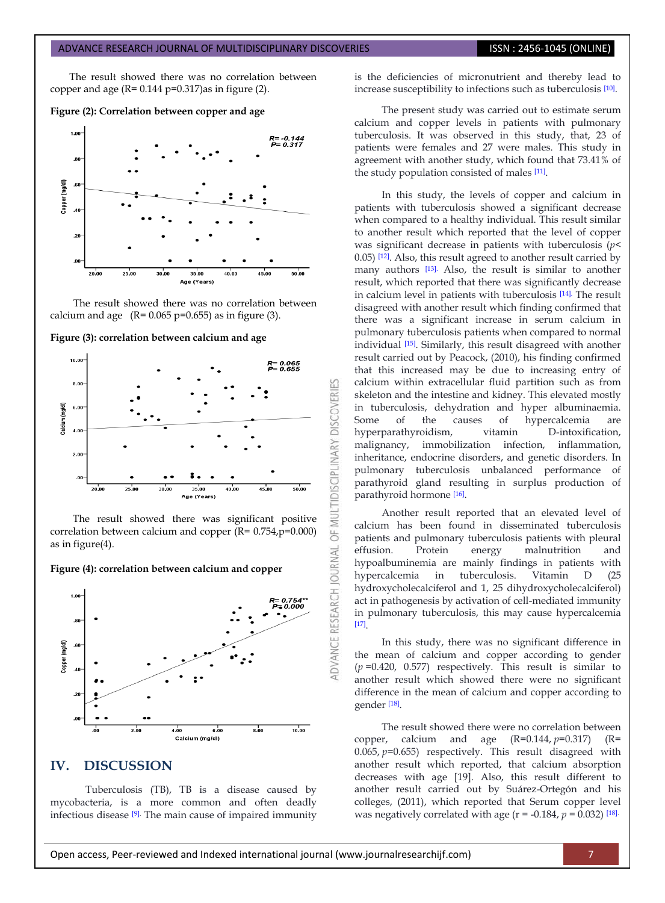The result showed there was no correlation between copper and age  $(R = 0.144 \text{ p} = 0.317)$ as in figure (2).

#### **Figure (2): Correlation between copper and age**



The result showed there was no correlation between calcium and age  $(R= 0.065 \text{ p} = 0.655)$  as in figure (3).

**Figure (3): correlation between calcium and age**



The result showed there was significant positive correlation between calcium and copper (R= 0.754,p=0.000) as in figure(4).

#### **Figure (4): correlation between calcium and copper**



## **IV. DISCUSSION**

Tuberculosis (TB), TB is a disease caused by mycobacteria, is a more common and often deadly infectious disease [\[9\].](#page-3-8) The main cause of impaired immunity is the deficiencies of micronutrient and thereby lead to increase susceptibility to infections such as tuberculosis [\[10\]](#page-3-9) .

The present study was carried out to estimate serum calcium and copper levels in patients with pulmonary tuberculosis. It was observed in this study, that, 23 of patients were females and 27 were males. This study in agreement with another study, which found that 73.41% of the study population consisted of males [\[11\]](#page-3-10) .

In this study, the levels of copper and calcium in patients with tuberculosis showed a significant decrease when compared to a healthy individual. This result similar to another result which reported that the level of copper was significant decrease in patients with tuberculosis (*p*< 0.05) [\[12\]](#page-3-11). Also, this result agreed to another result carried by many authors [\[13\].](#page-3-12) Also, the result is similar to another result, which reported that there was significantly decrease in calcium level in patients with tuberculosis [\[14\].](#page-3-13) The result disagreed with another result which finding confirmed that there was a significant increase in serum calcium in pulmonary tuberculosis patients when compared to normal individual [\[15\]](#page-3-14). Similarly, this result disagreed with another result carried out by Peacock, (2010), his finding confirmed that this increased may be due to increasing entry of calcium within extracellular fluid partition such as from skeleton and the intestine and kidney. This elevated mostly in tuberculosis, dehydration and hyper albuminaemia. Some of the causes of hypercalcemia are hyperparathyroidism, vitamin D-intoxification, malignancy, immobilization infection, inflammation, inheritance, endocrine disorders, and genetic disorders. In pulmonary tuberculosis unbalanced performance of parathyroid gland resulting in surplus production of parathyroid hormone [\[16\]](#page-3-15) .

Another result reported that an elevated level of calcium has been found in disseminated tuberculosis patients and pulmonary tuberculosis patients with pleural effusion. Protein energy malnutrition and hypoalbuminemia are mainly findings in patients with hypercalcemia in tuberculosis. Vitamin D (25 hydroxycholecalciferol and 1, 25 dihydroxycholecalciferol) act in pathogenesis by activation of cell-mediated immunity in pulmonary tuberculosis, this may cause hypercalcemia [\[17\]](#page-3-16) .

In this study, there was no significant difference in the mean of calcium and copper according to gender (*p* =0.420, 0.577) respectively. This result is similar to another result which showed there were no significant difference in the mean of calcium and copper according to gender [\[18\]](#page-3-17) .

The result showed there were no correlation between copper, calcium and age  $(R=0.144, p=0.317)$   $(R=$ 0.065, *p*=0.655) respectively. This result disagreed with another result which reported, that calcium absorption decreases with age [\[19\].](#page-3-18) Also, this result different to another result carried out by Suárez-Ortegón and his colleges, (2011), which reported that Serum copper level was negatively correlated with age  $(r = -0.184, p = 0.032)$ <sup>[\[18\].](#page-3-17)</sup>